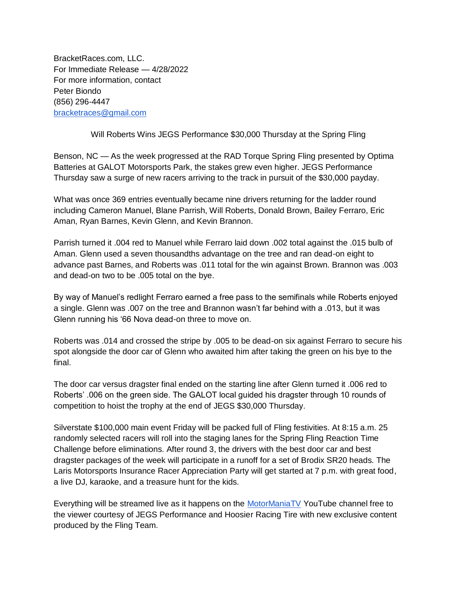BracketRaces.com, LLC. For Immediate Release — 4/28/2022 For more information, contact Peter Biondo (856) 296-4447 [bracketraces@gmail.com](mailto:bracketraces@gmail.com)

Will Roberts Wins JEGS Performance \$30,000 Thursday at the Spring Fling

Benson, NC — As the week progressed at the RAD Torque Spring Fling presented by Optima Batteries at GALOT Motorsports Park, the stakes grew even higher. JEGS Performance Thursday saw a surge of new racers arriving to the track in pursuit of the \$30,000 payday.

What was once 369 entries eventually became nine drivers returning for the ladder round including Cameron Manuel, Blane Parrish, Will Roberts, Donald Brown, Bailey Ferraro, Eric Aman, Ryan Barnes, Kevin Glenn, and Kevin Brannon.

Parrish turned it .004 red to Manuel while Ferraro laid down .002 total against the .015 bulb of Aman. Glenn used a seven thousandths advantage on the tree and ran dead-on eight to advance past Barnes, and Roberts was .011 total for the win against Brown. Brannon was .003 and dead-on two to be .005 total on the bye.

By way of Manuel's redlight Ferraro earned a free pass to the semifinals while Roberts enjoyed a single. Glenn was .007 on the tree and Brannon wasn't far behind with a .013, but it was Glenn running his '66 Nova dead-on three to move on.

Roberts was .014 and crossed the stripe by .005 to be dead-on six against Ferraro to secure his spot alongside the door car of Glenn who awaited him after taking the green on his bye to the final.

The door car versus dragster final ended on the starting line after Glenn turned it .006 red to Roberts' .006 on the green side. The GALOT local guided his dragster through 10 rounds of competition to hoist the trophy at the end of JEGS \$30,000 Thursday.

Silverstate \$100,000 main event Friday will be packed full of Fling festivities. At 8:15 a.m. 25 randomly selected racers will roll into the staging lanes for the Spring Fling Reaction Time Challenge before eliminations. After round 3, the drivers with the best door car and best dragster packages of the week will participate in a runoff for a set of Brodix SR20 heads. The Laris Motorsports Insurance Racer Appreciation Party will get started at 7 p.m. with great food, a live DJ, karaoke, and a treasure hunt for the kids.

Everything will be streamed live as it happens on the [MotorManiaTV](https://www.youtube.com/c/MotormaniaTV) YouTube channel free to the viewer courtesy of JEGS Performance and Hoosier Racing Tire with new exclusive content produced by the Fling Team.